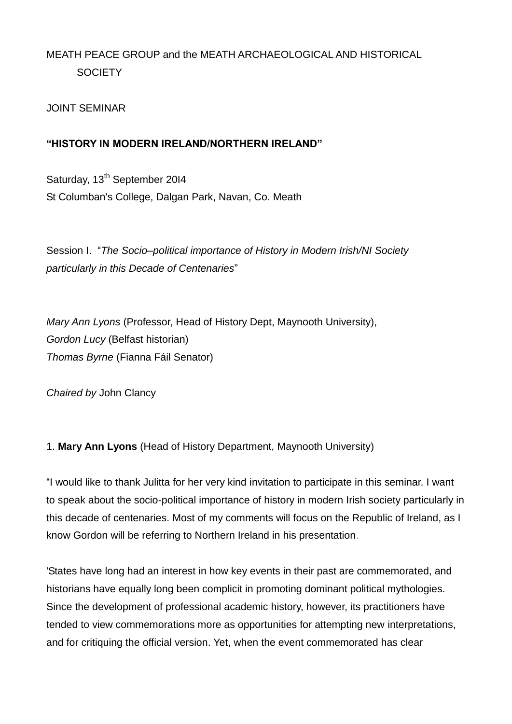# MEATH PEACE GROUP and the MEATH ARCHAEOLOGICAL AND HISTORICAL **SOCIETY**

# JOINT SEMINAR

# **"HISTORY IN MODERN IRELAND/NORTHERN IRELAND"**

Saturday, 13<sup>th</sup> September 2014 St Columban's College, Dalgan Park, Navan, Co. Meath

Session I. "*The Socio–political importance of History in Modern Irish/NI Society particularly in this Decade of Centenaries*"

*Mary Ann Lyons* (Professor, Head of History Dept, Maynooth University), *Gordon Lucy* (Belfast historian) *Thomas Byrne* (Fianna Fáil Senator)

*Chaired by* John Clancy

# 1. **Mary Ann Lyons** (Head of History Department, Maynooth University)

"I would like to thank Julitta for her very kind invitation to participate in this seminar. I want to speak about the socio-political importance of history in modern Irish society particularly in this decade of centenaries. Most of my comments will focus on the Republic of Ireland, as I know Gordon will be referring to Northern Ireland in his presentation.

'States have long had an interest in how key events in their past are commemorated, and historians have equally long been complicit in promoting dominant political mythologies. Since the development of professional academic history, however, its practitioners have tended to view commemorations more as opportunities for attempting new interpretations, and for critiquing the official version. Yet, when the event commemorated has clear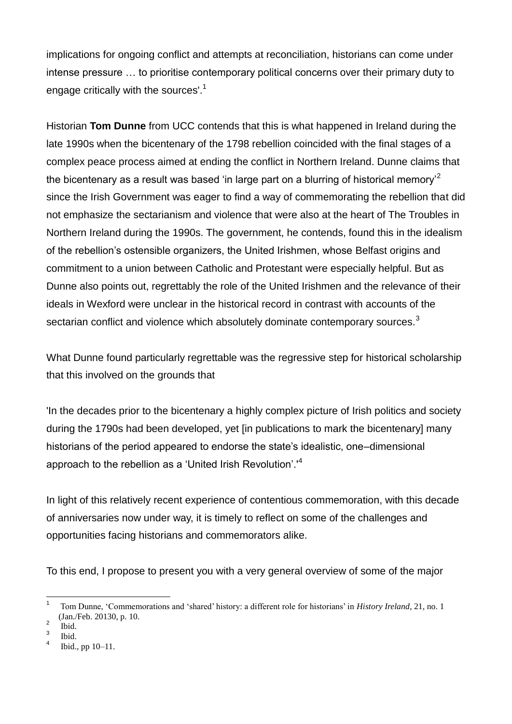implications for ongoing conflict and attempts at reconciliation, historians can come under intense pressure … to prioritise contemporary political concerns over their primary duty to engage critically with the sources'.<sup>1</sup>

Historian **Tom Dunne** from UCC contends that this is what happened in Ireland during the late 1990s when the bicentenary of the 1798 rebellion coincided with the final stages of a complex peace process aimed at ending the conflict in Northern Ireland. Dunne claims that the bicentenary as a result was based 'in large part on a blurring of historical memory'<sup>2</sup> since the Irish Government was eager to find a way of commemorating the rebellion that did not emphasize the sectarianism and violence that were also at the heart of The Troubles in Northern Ireland during the 1990s. The government, he contends, found this in the idealism of the rebellion's ostensible organizers, the United Irishmen, whose Belfast origins and commitment to a union between Catholic and Protestant were especially helpful. But as Dunne also points out, regrettably the role of the United Irishmen and the relevance of their ideals in Wexford were unclear in the historical record in contrast with accounts of the sectarian conflict and violence which absolutely dominate contemporary sources.<sup>3</sup>

What Dunne found particularly regrettable was the regressive step for historical scholarship that this involved on the grounds that

'In the decades prior to the bicentenary a highly complex picture of Irish politics and society during the 1790s had been developed, yet [in publications to mark the bicentenary] many historians of the period appeared to endorse the state's idealistic, one–dimensional approach to the rebellion as a 'United Irish Revolution'.'<sup>4</sup>

In light of this relatively recent experience of contentious commemoration, with this decade of anniversaries now under way, it is timely to reflect on some of the challenges and opportunities facing historians and commemorators alike.

To this end, I propose to present you with a very general overview of some of the major

 $\overline{a}$ 

<sup>1</sup> Tom Dunne, 'Commemorations and 'shared' history: a different role for historians' in *History Ireland*, 21, no. 1 (Jan./Feb. 20130, p. 10. 2

Ibid. 3

Ibid. 4

Ibid., pp 10–11.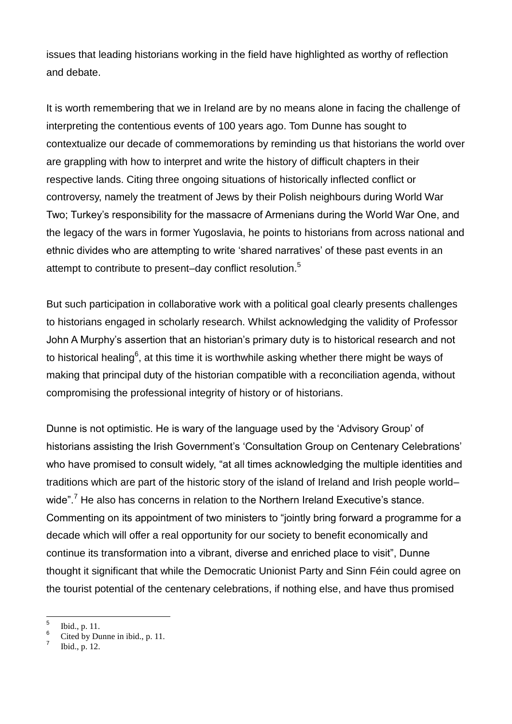issues that leading historians working in the field have highlighted as worthy of reflection and debate.

It is worth remembering that we in Ireland are by no means alone in facing the challenge of interpreting the contentious events of 100 years ago. Tom Dunne has sought to contextualize our decade of commemorations by reminding us that historians the world over are grappling with how to interpret and write the history of difficult chapters in their respective lands. Citing three ongoing situations of historically inflected conflict or controversy, namely the treatment of Jews by their Polish neighbours during World War Two; Turkey's responsibility for the massacre of Armenians during the World War One, and the legacy of the wars in former Yugoslavia, he points to historians from across national and ethnic divides who are attempting to write 'shared narratives' of these past events in an attempt to contribute to present–day conflict resolution.<sup>5</sup>

But such participation in collaborative work with a political goal clearly presents challenges to historians engaged in scholarly research. Whilst acknowledging the validity of Professor John A Murphy's assertion that an historian's primary duty is to historical research and not to historical healing<sup>6</sup>, at this time it is worthwhile asking whether there might be ways of making that principal duty of the historian compatible with a reconciliation agenda, without compromising the professional integrity of history or of historians.

Dunne is not optimistic. He is wary of the language used by the 'Advisory Group' of historians assisting the Irish Government's 'Consultation Group on Centenary Celebrations' who have promised to consult widely, "at all times acknowledging the multiple identities and traditions which are part of the historic story of the island of Ireland and Irish people world– wide".<sup>7</sup> He also has concerns in relation to the Northern Ireland Executive's stance. Commenting on its appointment of two ministers to "jointly bring forward a programme for a decade which will offer a real opportunity for our society to benefit economically and continue its transformation into a vibrant, diverse and enriched place to visit", Dunne thought it significant that while the Democratic Unionist Party and Sinn Féin could agree on the tourist potential of the centenary celebrations, if nothing else, and have thus promised

 $\frac{1}{5}$ Ibid., p. 11.

<sup>6</sup> Cited by Dunne in ibid., p. 11.

<sup>7</sup> Ibid., p. 12.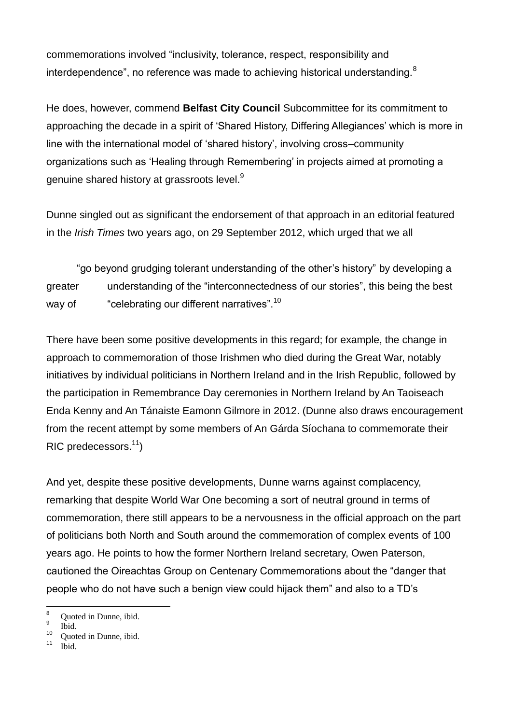commemorations involved "inclusivity, tolerance, respect, responsibility and interdependence", no reference was made to achieving historical understanding.<sup>8</sup>

He does, however, commend **Belfast City Council** Subcommittee for its commitment to approaching the decade in a spirit of 'Shared History, Differing Allegiances' which is more in line with the international model of 'shared history', involving cross–community organizations such as 'Healing through Remembering' in projects aimed at promoting a genuine shared history at grassroots level.<sup>9</sup>

Dunne singled out as significant the endorsement of that approach in an editorial featured in the *Irish Times* two years ago, on 29 September 2012, which urged that we all

"go beyond grudging tolerant understanding of the other's history" by developing a greater understanding of the "interconnectedness of our stories", this being the best way of "celebrating our different narratives".<sup>10</sup>

There have been some positive developments in this regard; for example, the change in approach to commemoration of those Irishmen who died during the Great War, notably initiatives by individual politicians in Northern Ireland and in the Irish Republic, followed by the participation in Remembrance Day ceremonies in Northern Ireland by An Taoiseach Enda Kenny and An Tánaiste Eamonn Gilmore in 2012. (Dunne also draws encouragement from the recent attempt by some members of An Gárda Síochana to commemorate their  $RIC$  predecessors.<sup>11</sup>)

And yet, despite these positive developments, Dunne warns against complacency, remarking that despite World War One becoming a sort of neutral ground in terms of commemoration, there still appears to be a nervousness in the official approach on the part of politicians both North and South around the commemoration of complex events of 100 years ago. He points to how the former Northern Ireland secretary, Owen Paterson, cautioned the Oireachtas Group on Centenary Commemorations about the "danger that people who do not have such a benign view could hijack them" and also to a TD's

 $\overline{a}$ 

Quoted in Dunne, ibid.

<sup>9</sup> Ibid.

 $\frac{10}{11}$  Quoted in Dunne, ibid.

Ibid.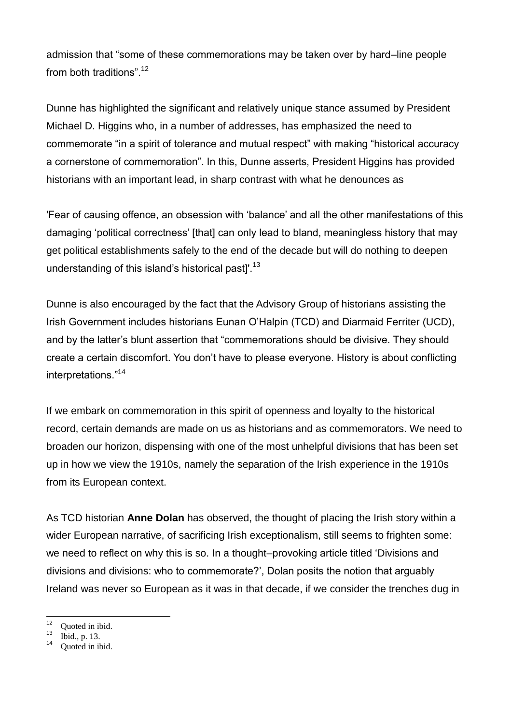admission that "some of these commemorations may be taken over by hard–line people from both traditions" <sup>12</sup>

Dunne has highlighted the significant and relatively unique stance assumed by President Michael D. Higgins who, in a number of addresses, has emphasized the need to commemorate "in a spirit of tolerance and mutual respect" with making "historical accuracy a cornerstone of commemoration". In this, Dunne asserts, President Higgins has provided historians with an important lead, in sharp contrast with what he denounces as

'Fear of causing offence, an obsession with 'balance' and all the other manifestations of this damaging 'political correctness' [that] can only lead to bland, meaningless history that may get political establishments safely to the end of the decade but will do nothing to deepen understanding of this island's historical pastl'.<sup>13</sup>

Dunne is also encouraged by the fact that the Advisory Group of historians assisting the Irish Government includes historians Eunan O'Halpin (TCD) and Diarmaid Ferriter (UCD), and by the latter's blunt assertion that "commemorations should be divisive. They should create a certain discomfort. You don't have to please everyone. History is about conflicting interpretations."<sup>14</sup>

If we embark on commemoration in this spirit of openness and loyalty to the historical record, certain demands are made on us as historians and as commemorators. We need to broaden our horizon, dispensing with one of the most unhelpful divisions that has been set up in how we view the 1910s, namely the separation of the Irish experience in the 1910s from its European context.

As TCD historian **Anne Dolan** has observed, the thought of placing the Irish story within a wider European narrative, of sacrificing Irish exceptionalism, still seems to frighten some: we need to reflect on why this is so. In a thought–provoking article titled 'Divisions and divisions and divisions: who to commemorate?', Dolan posits the notion that arguably Ireland was never so European as it was in that decade, if we consider the trenches dug in

 $12$  $\frac{12}{13}$  Quoted in ibid.

 $13$  Ibid., p. 13.

Quoted in ibid.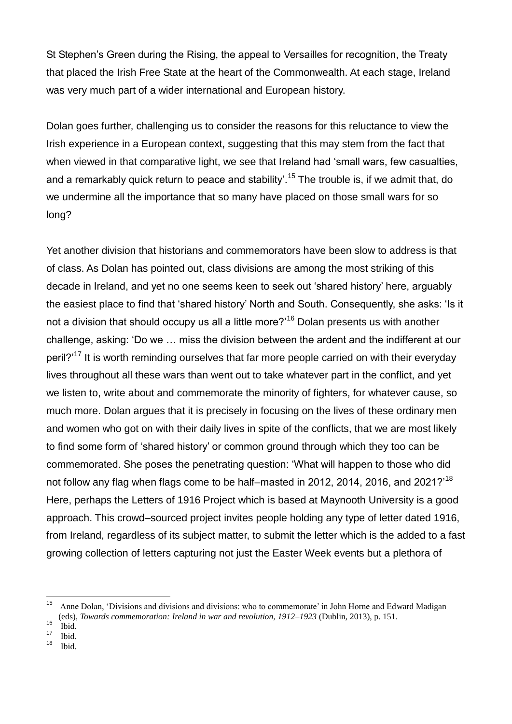St Stephen's Green during the Rising, the appeal to Versailles for recognition, the Treaty that placed the Irish Free State at the heart of the Commonwealth. At each stage, Ireland was very much part of a wider international and European history.

Dolan goes further, challenging us to consider the reasons for this reluctance to view the Irish experience in a European context, suggesting that this may stem from the fact that when viewed in that comparative light, we see that Ireland had 'small wars, few casualties, and a remarkably quick return to peace and stability'.<sup>15</sup> The trouble is, if we admit that, do we undermine all the importance that so many have placed on those small wars for so long?

Yet another division that historians and commemorators have been slow to address is that of class. As Dolan has pointed out, class divisions are among the most striking of this decade in Ireland, and yet no one seems keen to seek out 'shared history' here, arguably the easiest place to find that 'shared history' North and South. Consequently, she asks: 'Is it not a division that should occupy us all a little more?<sup>'16</sup> Dolan presents us with another challenge, asking: 'Do we … miss the division between the ardent and the indifferent at our peril?<sup>'17</sup> It is worth reminding ourselves that far more people carried on with their everyday lives throughout all these wars than went out to take whatever part in the conflict, and yet we listen to, write about and commemorate the minority of fighters, for whatever cause, so much more. Dolan argues that it is precisely in focusing on the lives of these ordinary men and women who got on with their daily lives in spite of the conflicts, that we are most likely to find some form of 'shared history' or common ground through which they too can be commemorated. She poses the penetrating question: 'What will happen to those who did not follow any flag when flags come to be half–masted in 2012, 2014, 2016, and 2021?<sup>18</sup> Here, perhaps the Letters of 1916 Project which is based at Maynooth University is a good approach. This crowd–sourced project invites people holding any type of letter dated 1916, from Ireland, regardless of its subject matter, to submit the letter which is the added to a fast growing collection of letters capturing not just the Easter Week events but a plethora of

 $\overline{a}$ 

<sup>15</sup> Anne Dolan, 'Divisions and divisions and divisions: who to commemorate' in John Horne and Edward Madigan (eds), *Towards commemoration: Ireland in war and revolution, 1912–1923* (Dublin, 2013), p. 151.

 $\frac{16}{17}$  Ibid.

 $\frac{17}{18}$  Ibid.

Ibid.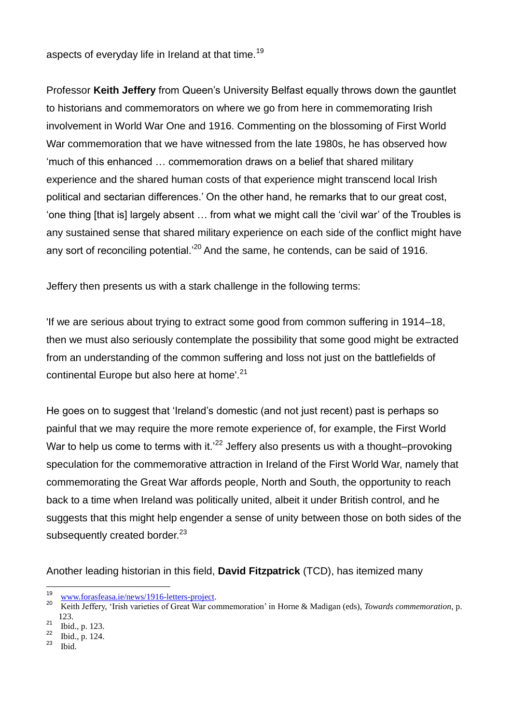aspects of everyday life in Ireland at that time.<sup>19</sup>

Professor **Keith Jeffery** from Queen's University Belfast equally throws down the gauntlet to historians and commemorators on where we go from here in commemorating Irish involvement in World War One and 1916. Commenting on the blossoming of First World War commemoration that we have witnessed from the late 1980s, he has observed how 'much of this enhanced … commemoration draws on a belief that shared military experience and the shared human costs of that experience might transcend local Irish political and sectarian differences.' On the other hand, he remarks that to our great cost, 'one thing [that is] largely absent … from what we might call the 'civil war' of the Troubles is any sustained sense that shared military experience on each side of the conflict might have any sort of reconciling potential.<sup>20</sup> And the same, he contends, can be said of 1916.

Jeffery then presents us with a stark challenge in the following terms:

'If we are serious about trying to extract some good from common suffering in 1914–18, then we must also seriously contemplate the possibility that some good might be extracted from an understanding of the common suffering and loss not just on the battlefields of continental Europe but also here at home'.<sup>21</sup>

He goes on to suggest that 'Ireland's domestic (and not just recent) past is perhaps so painful that we may require the more remote experience of, for example, the First World War to help us come to terms with it.<sup>22</sup> Jeffery also presents us with a thought–provoking speculation for the commemorative attraction in Ireland of the First World War, namely that commemorating the Great War affords people, North and South, the opportunity to reach back to a time when Ireland was politically united, albeit it under British control, and he suggests that this might help engender a sense of unity between those on both sides of the subsequently created border.<sup>23</sup>

Another leading historian in this field, **David Fitzpatrick** (TCD), has itemized many

<sup>19</sup>  $\frac{19}{20}$  [www.forasfeasa.ie/news/1916-letters-project.](http://www.forasfeasa.ie/news/1916-letters-project)

<sup>20</sup> Keith Jeffery, 'Irish varieties of Great War commemoration' in Horne & Madigan (eds), *Towards commemoration*, p. 123.

 $\frac{21}{22}$  Ibid., p. 123.

 $\frac{22}{23}$  Ibid., p. 124.

Ibid.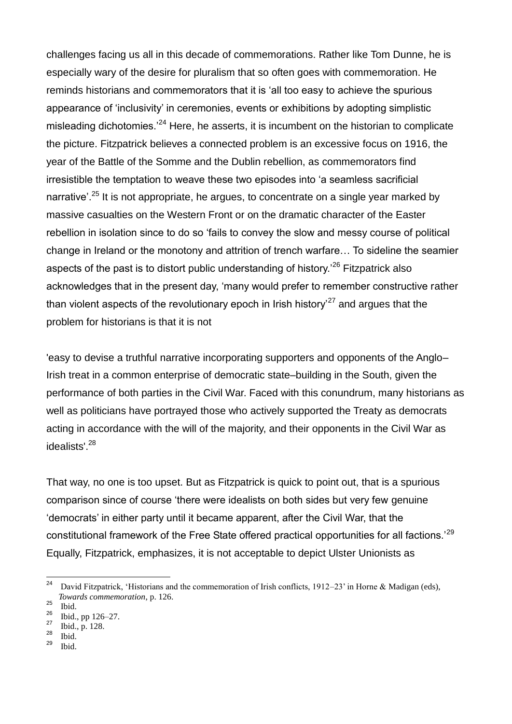challenges facing us all in this decade of commemorations. Rather like Tom Dunne, he is especially wary of the desire for pluralism that so often goes with commemoration. He reminds historians and commemorators that it is 'all too easy to achieve the spurious appearance of 'inclusivity' in ceremonies, events or exhibitions by adopting simplistic misleading dichotomies.<sup> $24$ </sup> Here, he asserts, it is incumbent on the historian to complicate the picture. Fitzpatrick believes a connected problem is an excessive focus on 1916, the year of the Battle of the Somme and the Dublin rebellion, as commemorators find irresistible the temptation to weave these two episodes into 'a seamless sacrificial narrative<sup>'. 25</sup> It is not appropriate, he argues, to concentrate on a single year marked by massive casualties on the Western Front or on the dramatic character of the Easter rebellion in isolation since to do so 'fails to convey the slow and messy course of political change in Ireland or the monotony and attrition of trench warfare… To sideline the seamier aspects of the past is to distort public understanding of history.<sup>26</sup> Fitzpatrick also acknowledges that in the present day, 'many would prefer to remember constructive rather than violent aspects of the revolutionary epoch in Irish history<sup> $27$ </sup> and argues that the problem for historians is that it is not

'easy to devise a truthful narrative incorporating supporters and opponents of the Anglo– Irish treat in a common enterprise of democratic state–building in the South, given the performance of both parties in the Civil War. Faced with this conundrum, many historians as well as politicians have portrayed those who actively supported the Treaty as democrats acting in accordance with the will of the majority, and their opponents in the Civil War as idealists'.<sup>28</sup>

That way, no one is too upset. But as Fitzpatrick is quick to point out, that is a spurious comparison since of course 'there were idealists on both sides but very few genuine 'democrats' in either party until it became apparent, after the Civil War, that the constitutional framework of the Free State offered practical opportunities for all factions.'<sup>29</sup> Equally, Fitzpatrick, emphasizes, it is not acceptable to depict Ulster Unionists as

- $\frac{28}{29}$  Ibid.
- Ibid.

 $24\,$ David Fitzpatrick, 'Historians and the commemoration of Irish conflicts, 1912–23' in Horne & Madigan (eds), *Towards commemoration*, p. 126.

 $rac{25}{26}$  Ibid.

 $\frac{26}{27}$  Ibid., pp 126–27.

 $\frac{27}{28}$  Ibid., p. 128.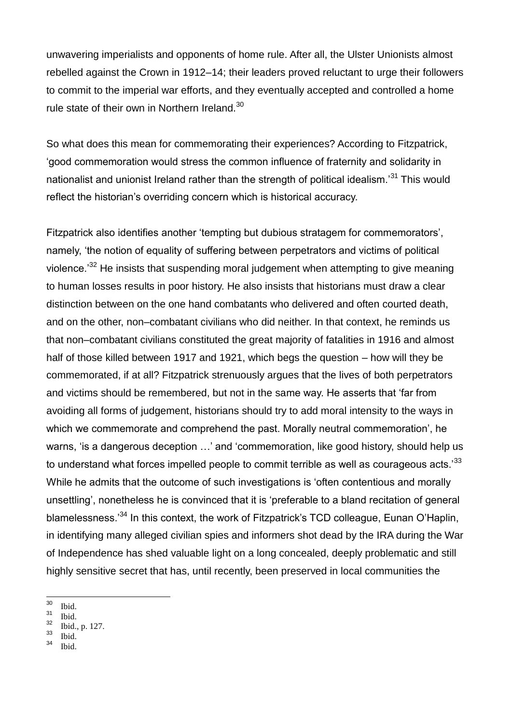unwavering imperialists and opponents of home rule. After all, the Ulster Unionists almost rebelled against the Crown in 1912–14; their leaders proved reluctant to urge their followers to commit to the imperial war efforts, and they eventually accepted and controlled a home rule state of their own in Northern Ireland.<sup>30</sup>

So what does this mean for commemorating their experiences? According to Fitzpatrick, 'good commemoration would stress the common influence of fraternity and solidarity in nationalist and unionist Ireland rather than the strength of political idealism.<sup>31</sup> This would reflect the historian's overriding concern which is historical accuracy.

Fitzpatrick also identifies another 'tempting but dubious stratagem for commemorators', namely, 'the notion of equality of suffering between perpetrators and victims of political violence.<sup>'32</sup> He insists that suspending moral judgement when attempting to give meaning to human losses results in poor history. He also insists that historians must draw a clear distinction between on the one hand combatants who delivered and often courted death, and on the other, non–combatant civilians who did neither. In that context, he reminds us that non–combatant civilians constituted the great majority of fatalities in 1916 and almost half of those killed between 1917 and 1921, which begs the question – how will they be commemorated, if at all? Fitzpatrick strenuously argues that the lives of both perpetrators and victims should be remembered, but not in the same way. He asserts that 'far from avoiding all forms of judgement, historians should try to add moral intensity to the ways in which we commemorate and comprehend the past. Morally neutral commemoration', he warns, 'is a dangerous deception ...' and 'commemoration, like good history, should help us to understand what forces impelled people to commit terrible as well as courageous acts.<sup>33</sup> While he admits that the outcome of such investigations is 'often contentious and morally unsettling', nonetheless he is convinced that it is 'preferable to a bland recitation of general blamelessness.'<sup>34</sup> In this context, the work of Fitzpatrick's TCD colleague, Eunan O'Haplin, in identifying many alleged civilian spies and informers shot dead by the IRA during the War of Independence has shed valuable light on a long concealed, deeply problematic and still highly sensitive secret that has, until recently, been preserved in local communities the

 $\frac{33}{34}$  Ibid.

 $30\,$  $\frac{30}{31}$  Ibid.

 $rac{31}{32}$  Ibid.

 $rac{32}{33}$  Ibid., p. 127.

Ibid.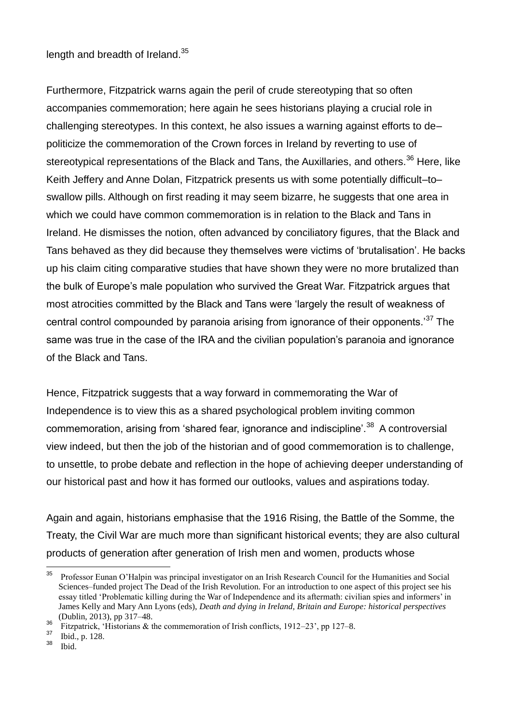#### length and breadth of Ireland.<sup>35</sup>

Furthermore, Fitzpatrick warns again the peril of crude stereotyping that so often accompanies commemoration; here again he sees historians playing a crucial role in challenging stereotypes. In this context, he also issues a warning against efforts to de– politicize the commemoration of the Crown forces in Ireland by reverting to use of stereotypical representations of the Black and Tans, the Auxillaries, and others.<sup>36</sup> Here, like Keith Jeffery and Anne Dolan, Fitzpatrick presents us with some potentially difficult–to– swallow pills. Although on first reading it may seem bizarre, he suggests that one area in which we could have common commemoration is in relation to the Black and Tans in Ireland. He dismisses the notion, often advanced by conciliatory figures, that the Black and Tans behaved as they did because they themselves were victims of 'brutalisation'. He backs up his claim citing comparative studies that have shown they were no more brutalized than the bulk of Europe's male population who survived the Great War. Fitzpatrick argues that most atrocities committed by the Black and Tans were 'largely the result of weakness of central control compounded by paranoia arising from ignorance of their opponents.<sup>37</sup> The same was true in the case of the IRA and the civilian population's paranoia and ignorance of the Black and Tans.

Hence, Fitzpatrick suggests that a way forward in commemorating the War of Independence is to view this as a shared psychological problem inviting common commemoration, arising from 'shared fear, ignorance and indiscipline'.<sup>38</sup> A controversial view indeed, but then the job of the historian and of good commemoration is to challenge, to unsettle, to probe debate and reflection in the hope of achieving deeper understanding of our historical past and how it has formed our outlooks, values and aspirations today*.*

Again and again, historians emphasise that the 1916 Rising, the Battle of the Somme, the Treaty, the Civil War are much more than significant historical events; they are also cultural products of generation after generation of Irish men and women, products whose

 $\overline{a}$ 

<sup>35</sup> Professor Eunan O'Halpin was principal investigator on an Irish Research Council for the Humanities and Social Sciences–funded project The Dead of the Irish Revolution. For an introduction to one aspect of this project see his essay titled 'Problematic killing during the War of Independence and its aftermath: civilian spies and informers' in James Kelly and Mary Ann Lyons (eds), *Death and dying in Ireland, Britain and Europe: historical perspectives* (Dublin, 2013), pp 317–48.

<sup>&</sup>lt;sup>36</sup> Fitzpatrick, 'Historians & the commemoration of Irish conflicts, 1912–23', pp 127–8.<br><sup>37</sup> Fitzpatrick, 'Historians & the commemoration of Irish conflicts, 1912–23', pp 127–8.

 $rac{37}{38}$  Ibid., p. 128.

Ibid.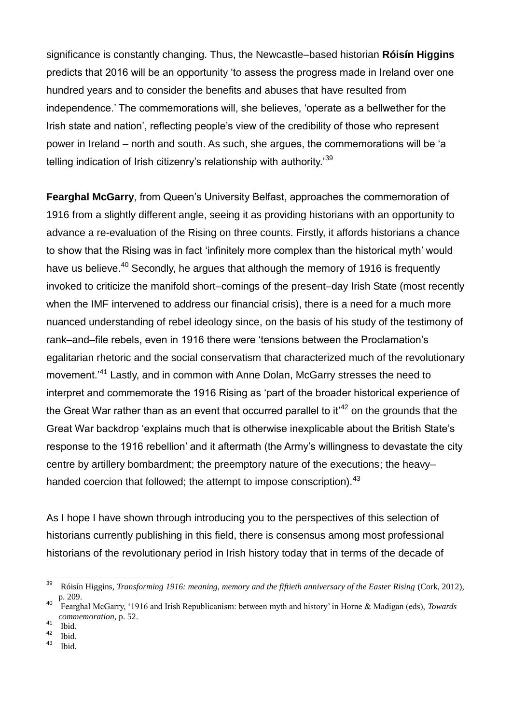significance is constantly changing. Thus, the Newcastle–based historian **Róisín Higgins** predicts that 2016 will be an opportunity 'to assess the progress made in Ireland over one hundred years and to consider the benefits and abuses that have resulted from independence.' The commemorations will, she believes, 'operate as a bellwether for the Irish state and nation', reflecting people's view of the credibility of those who represent power in Ireland – north and south. As such, she argues, the commemorations will be 'a telling indication of Irish citizenry's relationship with authority.<sup>39</sup>

**Fearghal McGarry**, from Queen's University Belfast, approaches the commemoration of 1916 from a slightly different angle, seeing it as providing historians with an opportunity to advance a re-evaluation of the Rising on three counts. Firstly, it affords historians a chance to show that the Rising was in fact 'infinitely more complex than the historical myth' would have us believe.<sup>40</sup> Secondly, he argues that although the memory of 1916 is frequently invoked to criticize the manifold short–comings of the present–day Irish State (most recently when the IMF intervened to address our financial crisis), there is a need for a much more nuanced understanding of rebel ideology since, on the basis of his study of the testimony of rank–and–file rebels, even in 1916 there were 'tensions between the Proclamation's egalitarian rhetoric and the social conservatism that characterized much of the revolutionary movement.<sup>41</sup> Lastly, and in common with Anne Dolan, McGarry stresses the need to interpret and commemorate the 1916 Rising as 'part of the broader historical experience of the Great War rather than as an event that occurred parallel to  $it^{42}$  on the grounds that the Great War backdrop 'explains much that is otherwise inexplicable about the British State's response to the 1916 rebellion' and it aftermath (the Army's willingness to devastate the city centre by artillery bombardment; the preemptory nature of the executions; the heavy– handed coercion that followed; the attempt to impose conscription)*.* 43

As I hope I have shown through introducing you to the perspectives of this selection of historians currently publishing in this field, there is consensus among most professional historians of the revolutionary period in Irish history today that in terms of the decade of

Ibid.

<sup>39</sup> <sup>39</sup> Róisín Higgins, *Transforming 1916: meaning, memory and the fiftieth anniversary of the Easter Rising* (Cork, 2012), p. 209.

<sup>40</sup> Fearghal McGarry, '1916 and Irish Republicanism: between myth and history' in Horne & Madigan (eds), *Towards commemoration*, p. 52.

 $\frac{41}{42}$  Ibid.

 $\frac{42}{43}$  Ibid.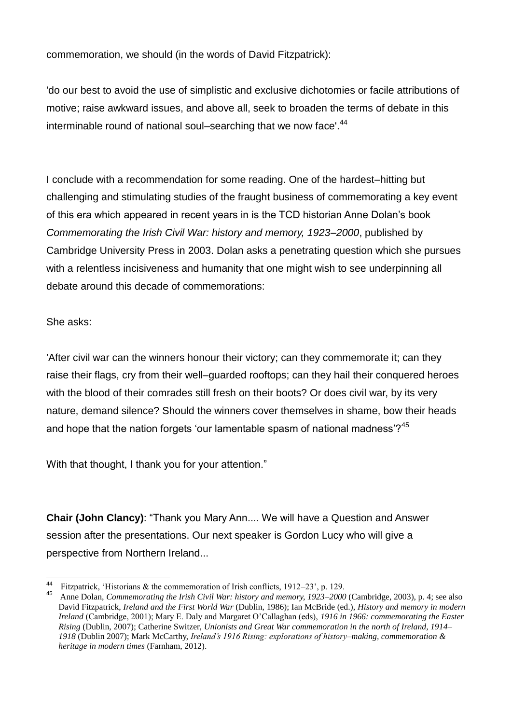commemoration, we should (in the words of David Fitzpatrick):

'do our best to avoid the use of simplistic and exclusive dichotomies or facile attributions of motive; raise awkward issues, and above all, seek to broaden the terms of debate in this interminable round of national soul–searching that we now face'.<sup>44</sup>

I conclude with a recommendation for some reading. One of the hardest–hitting but challenging and stimulating studies of the fraught business of commemorating a key event of this era which appeared in recent years in is the TCD historian Anne Dolan's book *Commemorating the Irish Civil War: history and memory, 1923–2000*, published by Cambridge University Press in 2003. Dolan asks a penetrating question which she pursues with a relentless incisiveness and humanity that one might wish to see underpinning all debate around this decade of commemorations:

### She asks:

'After civil war can the winners honour their victory; can they commemorate it; can they raise their flags, cry from their well–guarded rooftops; can they hail their conquered heroes with the blood of their comrades still fresh on their boots? Or does civil war, by its very nature, demand silence? Should the winners cover themselves in shame, bow their heads and hope that the nation forgets 'our lamentable spasm of national madness'? $45$ 

With that thought, I thank you for your attention."

**Chair (John Clancy)**: "Thank you Mary Ann.... We will have a Question and Answer session after the presentations. Our next speaker is Gordon Lucy who will give a perspective from Northern Ireland...

<sup>44</sup> Fitzpatrick, 'Historians & the commemoration of Irish conflicts, 1912–23', p. 129.

<sup>&</sup>lt;sup>45</sup> Anne Dolan, *Commemorating the Irish Civil War: history and memory, 1923–2000* (Cambridge, 2003), p. 4; see also David Fitzpatrick, *Ireland and the First World War* (Dublin, 1986); Ian McBride (ed.), *History and memory in modern Ireland* (Cambridge, 2001); Mary E. Daly and Margaret O'Callaghan (eds), *1916 in 1966: commemorating the Easter Rising* (Dublin, 2007); Catherine Switzer, *Unionists and Great War commemoration in the north of Ireland, 1914– 1918* (Dublin 2007); Mark McCarthy, *Ireland's 1916 Rising: explorations of history–making, commemoration & heritage in modern times* (Farnham, 2012).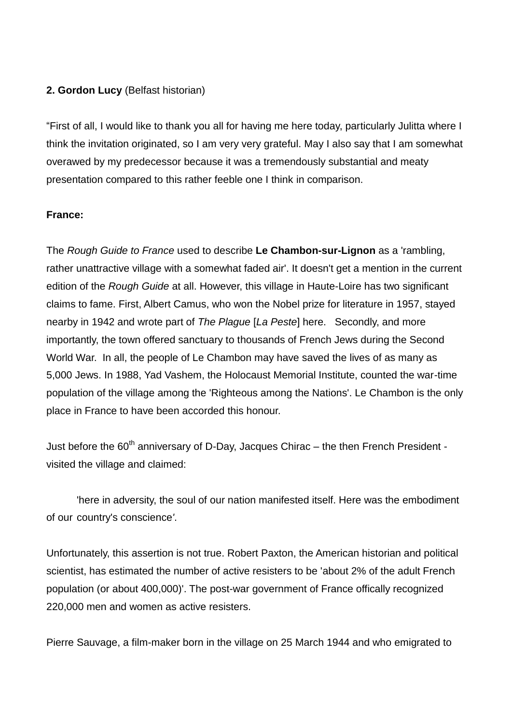### **2. Gordon Lucy** (Belfast historian)

"First of all, I would like to thank you all for having me here today, particularly Julitta where I think the invitation originated, so I am very very grateful. May I also say that I am somewhat overawed by my predecessor because it was a tremendously substantial and meaty presentation compared to this rather feeble one I think in comparison.

#### **France:**

The *Rough Guide to France* used to describe **Le Chambon-sur-Lignon** as a 'rambling, rather unattractive village with a somewhat faded air'. It doesn't get a mention in the current edition of the *Rough Guide* at all. However, this village in Haute-Loire has two significant claims to fame. First, Albert Camus, who won the Nobel prize for literature in 1957, stayed nearby in 1942 and wrote part of *The Plague* [*La Peste*] here. Secondly, and more importantly, the town offered sanctuary to thousands of French Jews during the Second World War. In all, the people of Le Chambon may have saved the lives of as many as 5,000 Jews. In 1988, Yad Vashem, the Holocaust Memorial Institute, counted the war-time population of the village among the 'Righteous among the Nations'. Le Chambon is the only place in France to have been accorded this honour.

Just before the  $60<sup>th</sup>$  anniversary of D-Day, Jacques Chirac – the then French President visited the village and claimed:

'here in adversity, the soul of our nation manifested itself. Here was the embodiment of our country's conscience*'*.

Unfortunately, this assertion is not true. Robert Paxton, the American historian and political scientist, has estimated the number of active resisters to be 'about 2% of the adult French population (or about 400,000)'. The post-war government of France offically recognized 220,000 men and women as active resisters.

Pierre Sauvage, a film-maker born in the village on 25 March 1944 and who emigrated to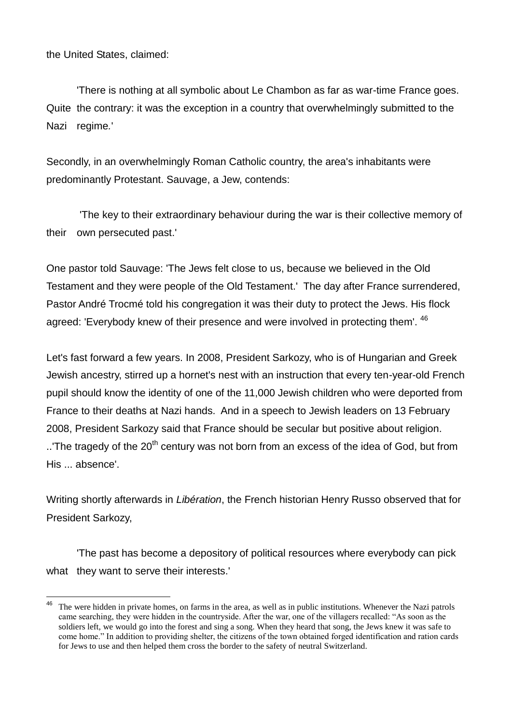the United States, claimed:

'There is nothing at all symbolic about Le Chambon as far as war-time France goes. Quite the contrary: it was the exception in a country that overwhelmingly submitted to the Nazi regime*.*'

Secondly, in an overwhelmingly Roman Catholic country, the area's inhabitants were predominantly Protestant. Sauvage, a Jew, contends:

'The key to their extraordinary behaviour during the war is their collective memory of their own persecuted past.'

One pastor told Sauvage: 'The Jews felt close to us, because we believed in the Old Testament and they were people of the Old Testament.' The day after France surrendered, Pastor André Trocmé told his congregation it was their duty to protect the Jews. His flock agreed: 'Everybody knew of their presence and were involved in protecting them'. <sup>46</sup>

Let's fast forward a few years. In 2008, President Sarkozy, who is of Hungarian and Greek Jewish ancestry, stirred up a hornet's nest with an instruction that every ten-year-old French pupil should know the identity of one of the 11,000 Jewish children who were deported from France to their deaths at Nazi hands. And in a speech to Jewish leaders on 13 February 2008, President Sarkozy said that France should be secular but positive about religion. ..'The tragedy of the 20<sup>th</sup> century was not born from an excess of the idea of God, but from His ... absence'.

Writing shortly afterwards in *Libération*, the French historian Henry Russo observed that for President Sarkozy,

'The past has become a depository of political resources where everybody can pick what they want to serve their interests.'

<sup>46</sup> The were hidden in private homes, on farms in the area, as well as in public institutions. Whenever the Nazi patrols came searching, they were hidden in the countryside. After the war, one of the villagers recalled: "As soon as the soldiers left, we would go into the forest and sing a song. When they heard that song, the Jews knew it was safe to come home." In addition to providing shelter, the citizens of the town obtained forged identification and ration cards for Jews to use and then helped them cross the border to the safety of neutral Switzerland.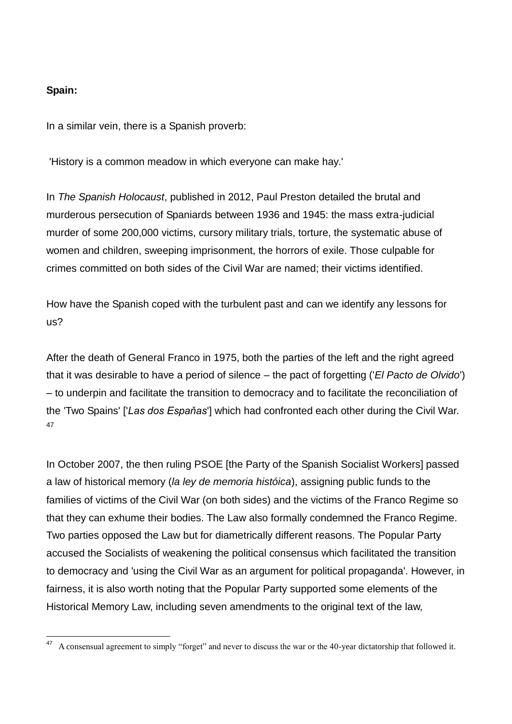#### **Spain:**

In a similar vein, there is a Spanish proverb:

'History is a common meadow in which everyone can make hay.'

In *The Spanish Holocaust*, published in 2012, Paul Preston detailed the brutal and murderous persecution of Spaniards between 1936 and 1945: the mass extra-judicial murder of some 200,000 victims, cursory military trials, torture, the systematic abuse of women and children, sweeping imprisonment, the horrors of exile. Those culpable for crimes committed on both sides of the Civil War are named; their victims identified.

How have the Spanish coped with the turbulent past and can we identify any lessons for us?

After the death of General Franco in 1975, both the parties of the left and the right agreed that it was desirable to have a period of silence – the pact of forgetting ('*El Pacto de Olvido*') – to underpin and facilitate the transition to democracy and to facilitate the reconciliation of the 'Two Spains' ['*Las dos Espaňas*'] which had confronted each other during the Civil War. 47

In October 2007, the then ruling PSOE [the Party of the Spanish Socialist Workers] passed a law of historical memory (*la ley de memoria históica*), assigning public funds to the families of victims of the Civil War (on both sides) and the victims of the Franco Regime so that they can exhume their bodies. The Law also formally condemned the Franco Regime. Two parties opposed the Law but for diametrically different reasons. The Popular Party accused the Socialists of weakening the political consensus which facilitated the transition to democracy and 'using the Civil War as an argument for political propaganda'. However, in fairness, it is also worth noting that the Popular Party supported some elements of the Historical Memory Law, including seven amendments to the original text of the law,

<sup>47</sup> <sup>47</sup> A consensual agreement to simply "forget" and never to discuss the war or the 40-year dictatorship that followed it.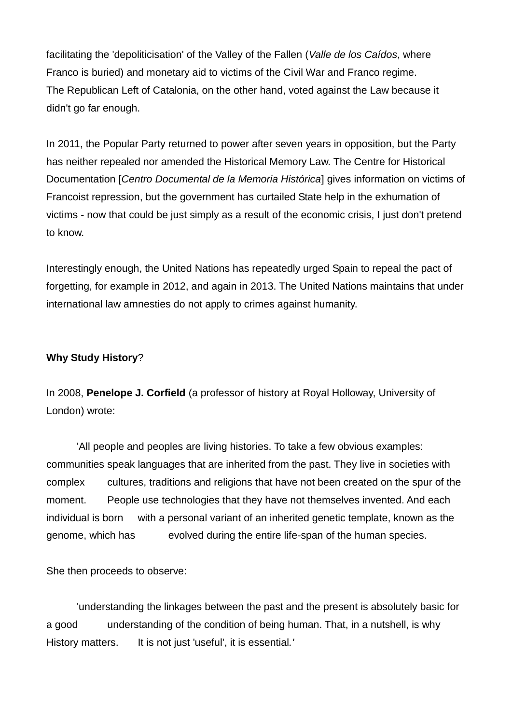facilitating the 'depoliticisation' of the Valley of the Fallen (*Valle de los Caídos*, where Franco is buried) and monetary aid to victims of the Civil War and Franco regime. The Republican Left of Catalonia, on the other hand, voted against the Law because it didn't go far enough.

In 2011, the Popular Party returned to power after seven years in opposition, but the Party has neither repealed nor amended the Historical Memory Law. The Centre for Historical Documentation [*Centro Documental de la Memoria Histórica*] gives information on victims of Francoist repression, but the government has curtailed State help in the exhumation of victims - now that could be just simply as a result of the economic crisis, I just don't pretend to know.

Interestingly enough, the United Nations has repeatedly urged Spain to repeal the pact of forgetting, for example in 2012, and again in 2013. The United Nations maintains that under international law amnesties do not apply to crimes against humanity.

# **Why Study History**?

In 2008, **Penelope J. Corfield** (a professor of history at Royal Holloway, University of London) wrote:

'All people and peoples are living histories. To take a few obvious examples: communities speak languages that are inherited from the past. They live in societies with complex cultures, traditions and religions that have not been created on the spur of the moment. People use technologies that they have not themselves invented. And each individual is born with a personal variant of an inherited genetic template, known as the genome, which has evolved during the entire life-span of the human species.

She then proceeds to observe:

'understanding the linkages between the past and the present is absolutely basic for a good understanding of the condition of being human. That, in a nutshell, is why History matters. It is not just 'useful', it is essential*.'*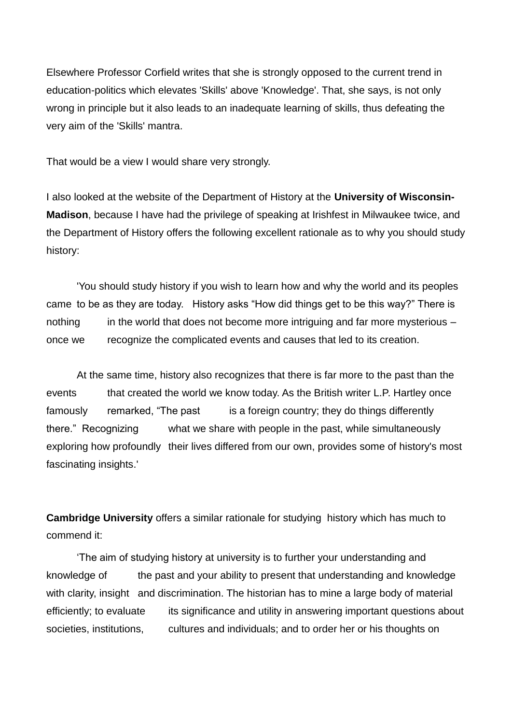Elsewhere Professor Corfield writes that she is strongly opposed to the current trend in education-politics which elevates 'Skills' above 'Knowledge'. That, she says, is not only wrong in principle but it also leads to an inadequate learning of skills, thus defeating the very aim of the 'Skills' mantra.

That would be a view I would share very strongly.

I also looked at the website of the Department of History at the **University of Wisconsin-Madison**, because I have had the privilege of speaking at Irishfest in Milwaukee twice, and the Department of History offers the following excellent rationale as to why you should study history:

'You should study history if you wish to learn how and why the world and its peoples came to be as they are today. History asks "How did things get to be this way?" There is nothing in the world that does not become more intriguing and far more mysterious – once we recognize the complicated events and causes that led to its creation.

At the same time, history also recognizes that there is far more to the past than the events that created the world we know today. As the British writer L.P. Hartley once famously remarked, "The past is a foreign country; they do things differently there." Recognizing what we share with people in the past, while simultaneously exploring how profoundly their lives differed from our own, provides some of history's most fascinating insights.'

**Cambridge University** offers a similar rationale for studying history which has much to commend it:

'The aim of studying history at university is to further your understanding and knowledge of the past and your ability to present that understanding and knowledge with clarity, insight and discrimination. The historian has to mine a large body of material efficiently; to evaluate its significance and utility in answering important questions about societies, institutions, cultures and individuals; and to order her or his thoughts on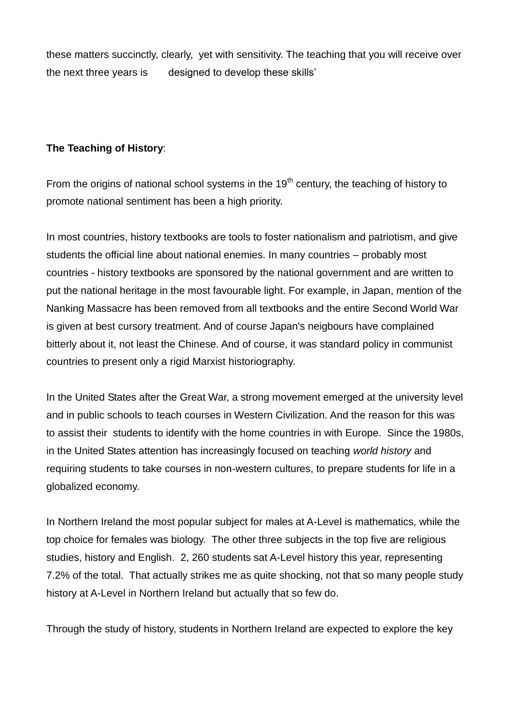these matters succinctly, clearly, yet with sensitivity. The teaching that you will receive over the next three years is designed to develop these skills'

# **The Teaching of History**:

From the origins of national school systems in the  $19<sup>th</sup>$  century, the teaching of history to promote national sentiment has been a high priority.

In most countries, history textbooks are tools to foster nationalism and patriotism, and give students the official line about national enemies. In many countries – probably most countries - history textbooks are sponsored by the national government and are written to put the national heritage in the most favourable light. For example, in Japan, mention of the Nanking Massacre has been removed from all textbooks and the entire Second World War is given at best cursory treatment. And of course Japan's neigbours have complained bitterly about it, not least the Chinese. And of course, it was standard policy in communist countries to present only a rigid Marxist historiography.

In the United States after the Great War, a strong movement emerged at the university level and in public schools to teach courses in Western Civilization. And the reason for this was to assist their students to identify with the home countries in with Europe. Since the 1980s, in the United States attention has increasingly focused on teaching *world history* and requiring students to take courses in non-western cultures, to prepare students for life in a globalized economy.

In Northern Ireland the most popular subject for males at A-Level is mathematics, while the top choice for females was biology. The other three subjects in the top five are religious studies, history and English. 2, 260 students sat A-Level history this year, representing 7.2% of the total. That actually strikes me as quite shocking, not that so many people study history at A-Level in Northern Ireland but actually that so few do.

Through the study of history, students in Northern Ireland are expected to explore the key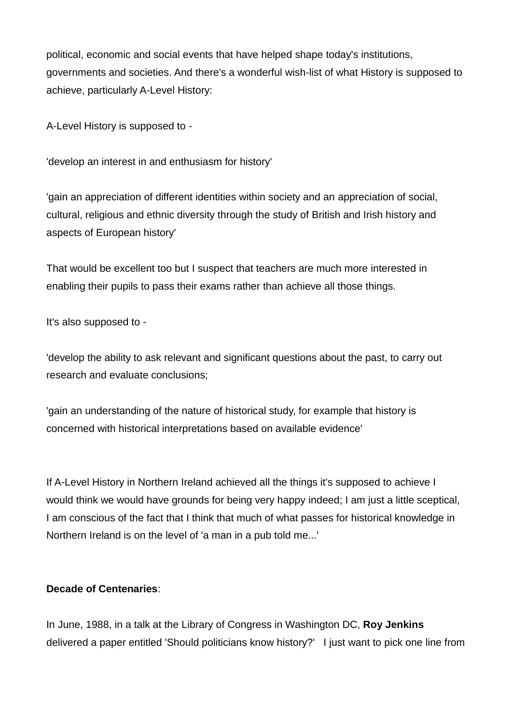political, economic and social events that have helped shape today's institutions, governments and societies. And there's a wonderful wish-list of what History is supposed to achieve, particularly A-Level History:

A-Level History is supposed to -

'develop an interest in and enthusiasm for history'

'gain an appreciation of different identities within society and an appreciation of social, cultural, religious and ethnic diversity through the study of British and Irish history and aspects of European history'

That would be excellent too but I suspect that teachers are much more interested in enabling their pupils to pass their exams rather than achieve all those things.

It's also supposed to -

'develop the ability to ask relevant and significant questions about the past, to carry out research and evaluate conclusions;

'gain an understanding of the nature of historical study, for example that history is concerned with historical interpretations based on available evidence'

If A-Level History in Northern Ireland achieved all the things it's supposed to achieve I would think we would have grounds for being very happy indeed; I am just a little sceptical, I am conscious of the fact that I think that much of what passes for historical knowledge in Northern Ireland is on the level of 'a man in a pub told me...'

# **Decade of Centenaries**:

In June, 1988, in a talk at the Library of Congress in Washington DC, **Roy Jenkins** delivered a paper entitled 'Should politicians know history?' I just want to pick one line from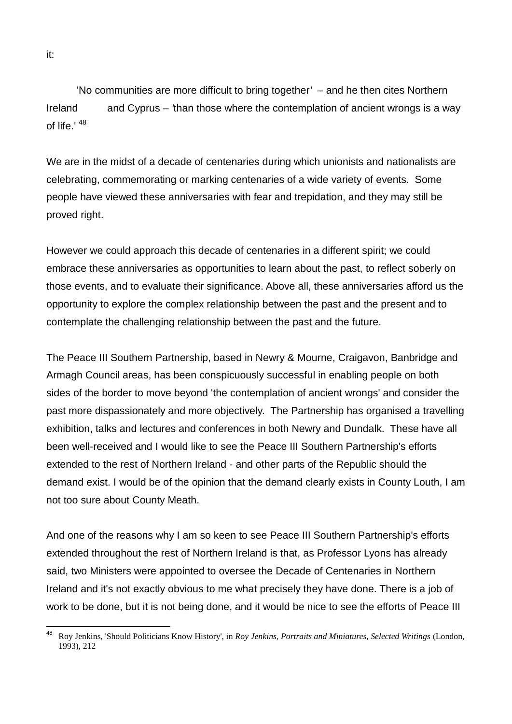'No communities are more difficult to bring together*'* – and he then cites Northern Ireland and Cyprus – *'*than those where the contemplation of ancient wrongs is a way of life.' <sup>48</sup>

We are in the midst of a decade of centenaries during which unionists and nationalists are celebrating, commemorating or marking centenaries of a wide variety of events. Some people have viewed these anniversaries with fear and trepidation, and they may still be proved right.

However we could approach this decade of centenaries in a different spirit; we could embrace these anniversaries as opportunities to learn about the past, to reflect soberly on those events, and to evaluate their significance. Above all, these anniversaries afford us the opportunity to explore the complex relationship between the past and the present and to contemplate the challenging relationship between the past and the future.

The Peace III Southern Partnership, based in Newry & Mourne, Craigavon, Banbridge and Armagh Council areas, has been conspicuously successful in enabling people on both sides of the border to move beyond 'the contemplation of ancient wrongs' and consider the past more dispassionately and more objectively. The Partnership has organised a travelling exhibition, talks and lectures and conferences in both Newry and Dundalk. These have all been well-received and I would like to see the Peace III Southern Partnership's efforts extended to the rest of Northern Ireland - and other parts of the Republic should the demand exist. I would be of the opinion that the demand clearly exists in County Louth, I am not too sure about County Meath.

And one of the reasons why I am so keen to see Peace III Southern Partnership's efforts extended throughout the rest of Northern Ireland is that, as Professor Lyons has already said, two Ministers were appointed to oversee the Decade of Centenaries in Northern Ireland and it's not exactly obvious to me what precisely they have done. There is a job of work to be done, but it is not being done, and it would be nice to see the efforts of Peace III

<sup>48</sup> <sup>48</sup> Roy Jenkins, 'Should Politicians Know History', in *Roy Jenkins, Portraits and Miniatures, Selected Writings* (London, 1993), 212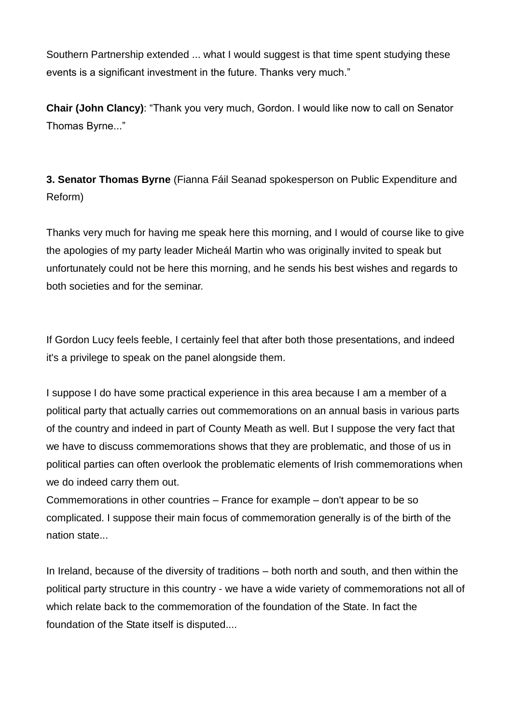Southern Partnership extended ... what I would suggest is that time spent studying these events is a significant investment in the future. Thanks very much."

**Chair (John Clancy)**: "Thank you very much, Gordon. I would like now to call on Senator Thomas Byrne..."

**3. Senator Thomas Byrne** (Fianna Fáil Seanad spokesperson on Public Expenditure and Reform)

Thanks very much for having me speak here this morning, and I would of course like to give the apologies of my party leader Micheál Martin who was originally invited to speak but unfortunately could not be here this morning, and he sends his best wishes and regards to both societies and for the seminar.

If Gordon Lucy feels feeble, I certainly feel that after both those presentations, and indeed it's a privilege to speak on the panel alongside them.

I suppose I do have some practical experience in this area because I am a member of a political party that actually carries out commemorations on an annual basis in various parts of the country and indeed in part of County Meath as well. But I suppose the very fact that we have to discuss commemorations shows that they are problematic, and those of us in political parties can often overlook the problematic elements of Irish commemorations when we do indeed carry them out.

Commemorations in other countries – France for example – don't appear to be so complicated. I suppose their main focus of commemoration generally is of the birth of the nation state...

In Ireland, because of the diversity of traditions – both north and south, and then within the political party structure in this country - we have a wide variety of commemorations not all of which relate back to the commemoration of the foundation of the State. In fact the foundation of the State itself is disputed....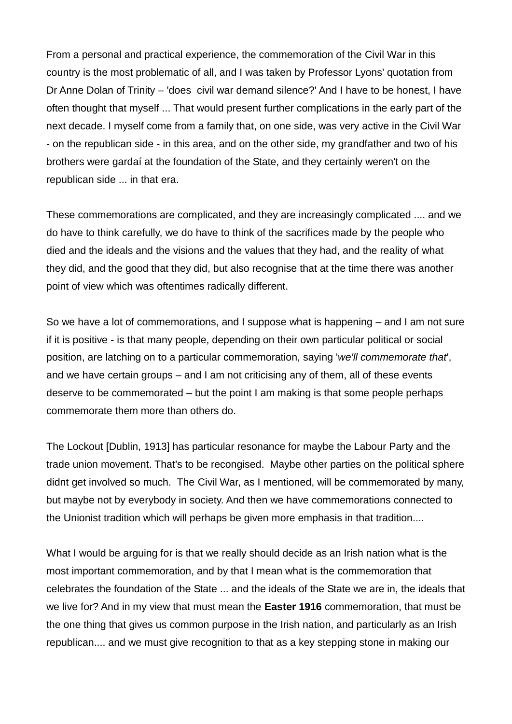From a personal and practical experience, the commemoration of the Civil War in this country is the most problematic of all, and I was taken by Professor Lyons' quotation from Dr Anne Dolan of Trinity – 'does civil war demand silence?' And I have to be honest, I have often thought that myself ... That would present further complications in the early part of the next decade. I myself come from a family that, on one side, was very active in the Civil War - on the republican side - in this area, and on the other side, my grandfather and two of his brothers were gardaí at the foundation of the State, and they certainly weren't on the republican side ... in that era.

These commemorations are complicated, and they are increasingly complicated .... and we do have to think carefully, we do have to think of the sacrifices made by the people who died and the ideals and the visions and the values that they had, and the reality of what they did, and the good that they did, but also recognise that at the time there was another point of view which was oftentimes radically different.

So we have a lot of commemorations, and I suppose what is happening – and I am not sure if it is positive - is that many people, depending on their own particular political or social position, are latching on to a particular commemoration, saying '*we'll commemorate that*', and we have certain groups – and I am not criticising any of them, all of these events deserve to be commemorated – but the point I am making is that some people perhaps commemorate them more than others do.

The Lockout [Dublin, 1913] has particular resonance for maybe the Labour Party and the trade union movement. That's to be recongised. Maybe other parties on the political sphere didnt get involved so much. The Civil War, as I mentioned, will be commemorated by many, but maybe not by everybody in society. And then we have commemorations connected to the Unionist tradition which will perhaps be given more emphasis in that tradition....

What I would be arguing for is that we really should decide as an Irish nation what is the most important commemoration, and by that I mean what is the commemoration that celebrates the foundation of the State ... and the ideals of the State we are in, the ideals that we live for? And in my view that must mean the **Easter 1916** commemoration, that must be the one thing that gives us common purpose in the Irish nation, and particularly as an Irish republican.... and we must give recognition to that as a key stepping stone in making our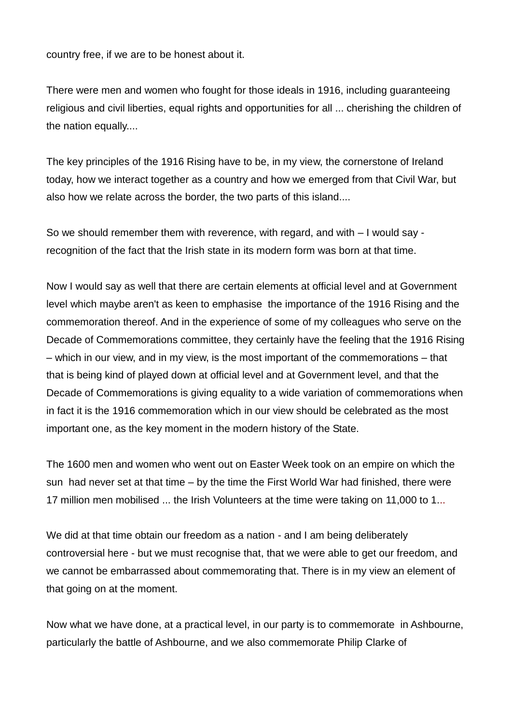country free, if we are to be honest about it.

There were men and women who fought for those ideals in 1916, including guaranteeing religious and civil liberties, equal rights and opportunities for all ... cherishing the children of the nation equally....

The key principles of the 1916 Rising have to be, in my view, the cornerstone of Ireland today, how we interact together as a country and how we emerged from that Civil War, but also how we relate across the border, the two parts of this island....

So we should remember them with reverence, with regard, and with – I would say recognition of the fact that the Irish state in its modern form was born at that time.

Now I would say as well that there are certain elements at official level and at Government level which maybe aren't as keen to emphasise the importance of the 1916 Rising and the commemoration thereof. And in the experience of some of my colleagues who serve on the Decade of Commemorations committee, they certainly have the feeling that the 1916 Rising – which in our view, and in my view, is the most important of the commemorations – that that is being kind of played down at official level and at Government level, and that the Decade of Commemorations is giving equality to a wide variation of commemorations when in fact it is the 1916 commemoration which in our view should be celebrated as the most important one, as the key moment in the modern history of the State.

The 1600 men and women who went out on Easter Week took on an empire on which the sun had never set at that time – by the time the First World War had finished, there were 17 million men mobilised ... the Irish Volunteers at the time were taking on 11,000 to 1...

We did at that time obtain our freedom as a nation - and I am being deliberately controversial here - but we must recognise that, that we were able to get our freedom, and we cannot be embarrassed about commemorating that. There is in my view an element of that going on at the moment.

Now what we have done, at a practical level, in our party is to commemorate in Ashbourne, particularly the battle of Ashbourne, and we also commemorate Philip Clarke of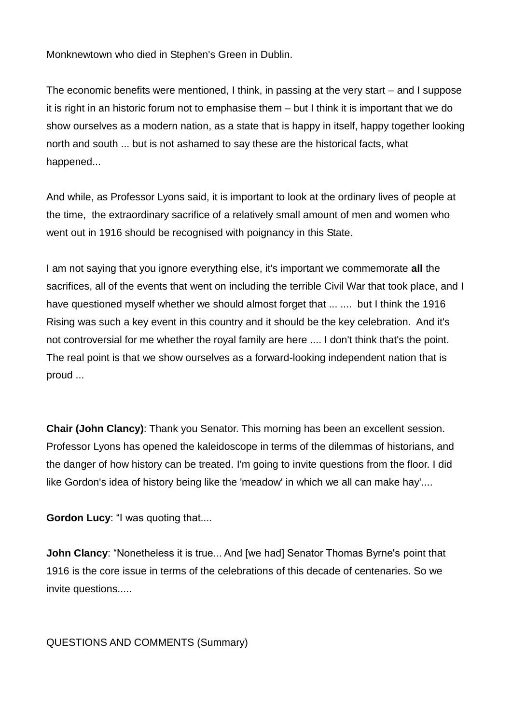Monknewtown who died in Stephen's Green in Dublin.

The economic benefits were mentioned, I think, in passing at the very start – and I suppose it is right in an historic forum not to emphasise them – but I think it is important that we do show ourselves as a modern nation, as a state that is happy in itself, happy together looking north and south ... but is not ashamed to say these are the historical facts, what happened...

And while, as Professor Lyons said, it is important to look at the ordinary lives of people at the time, the extraordinary sacrifice of a relatively small amount of men and women who went out in 1916 should be recognised with poignancy in this State.

I am not saying that you ignore everything else, it's important we commemorate **all** the sacrifices, all of the events that went on including the terrible Civil War that took place, and I have questioned myself whether we should almost forget that ... .... but I think the 1916 Rising was such a key event in this country and it should be the key celebration. And it's not controversial for me whether the royal family are here .... I don't think that's the point. The real point is that we show ourselves as a forward-looking independent nation that is proud ...

**Chair (John Clancy)**: Thank you Senator. This morning has been an excellent session. Professor Lyons has opened the kaleidoscope in terms of the dilemmas of historians, and the danger of how history can be treated. I'm going to invite questions from the floor. I did like Gordon's idea of history being like the 'meadow' in which we all can make hay'....

**Gordon Lucy**: "I was quoting that....

**John Clancy:** "Nonetheless it is true... And [we had] Senator Thomas Byrne's point that 1916 is the core issue in terms of the celebrations of this decade of centenaries. So we invite questions.....

QUESTIONS AND COMMENTS (Summary)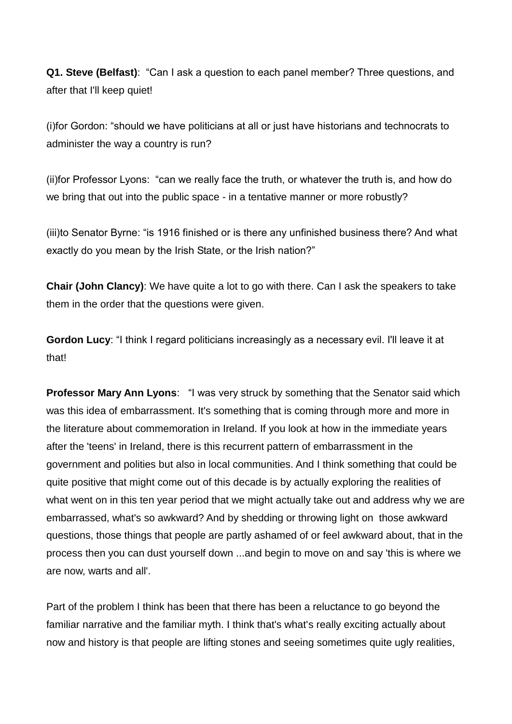**Q1. Steve (Belfast)**: "Can I ask a question to each panel member? Three questions, and after that I'll keep quiet!

(i)for Gordon: "should we have politicians at all or just have historians and technocrats to administer the way a country is run?

(ii)for Professor Lyons: "can we really face the truth, or whatever the truth is, and how do we bring that out into the public space - in a tentative manner or more robustly?

(iii)to Senator Byrne: "is 1916 finished or is there any unfinished business there? And what exactly do you mean by the Irish State, or the Irish nation?"

**Chair (John Clancy)**: We have quite a lot to go with there. Can I ask the speakers to take them in the order that the questions were given.

**Gordon Lucy**: "I think I regard politicians increasingly as a necessary evil. I'll leave it at that!

**Professor Mary Ann Lyons**: "I was very struck by something that the Senator said which was this idea of embarrassment. It's something that is coming through more and more in the literature about commemoration in Ireland. If you look at how in the immediate years after the 'teens' in Ireland, there is this recurrent pattern of embarrassment in the government and polities but also in local communities. And I think something that could be quite positive that might come out of this decade is by actually exploring the realities of what went on in this ten year period that we might actually take out and address why we are embarrassed, what's so awkward? And by shedding or throwing light on those awkward questions, those things that people are partly ashamed of or feel awkward about, that in the process then you can dust yourself down ...and begin to move on and say 'this is where we are now, warts and all'.

Part of the problem I think has been that there has been a reluctance to go beyond the familiar narrative and the familiar myth. I think that's what's really exciting actually about now and history is that people are lifting stones and seeing sometimes quite ugly realities,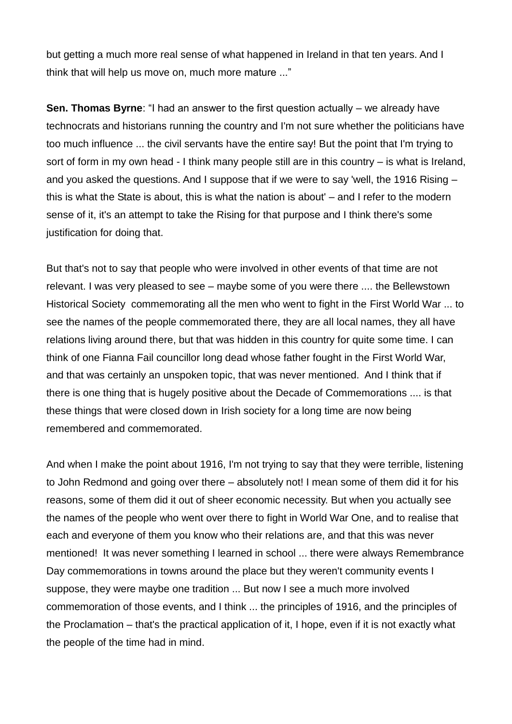but getting a much more real sense of what happened in Ireland in that ten years. And I think that will help us move on, much more mature ..."

**Sen. Thomas Byrne:** "I had an answer to the first question actually – we already have technocrats and historians running the country and I'm not sure whether the politicians have too much influence ... the civil servants have the entire say! But the point that I'm trying to sort of form in my own head - I think many people still are in this country – is what is Ireland, and you asked the questions. And I suppose that if we were to say 'well, the 1916 Rising – this is what the State is about, this is what the nation is about' – and I refer to the modern sense of it, it's an attempt to take the Rising for that purpose and I think there's some justification for doing that.

But that's not to say that people who were involved in other events of that time are not relevant. I was very pleased to see – maybe some of you were there .... the Bellewstown Historical Society commemorating all the men who went to fight in the First World War ... to see the names of the people commemorated there, they are all local names, they all have relations living around there, but that was hidden in this country for quite some time. I can think of one Fianna Fail councillor long dead whose father fought in the First World War, and that was certainly an unspoken topic, that was never mentioned. And I think that if there is one thing that is hugely positive about the Decade of Commemorations .... is that these things that were closed down in Irish society for a long time are now being remembered and commemorated.

And when I make the point about 1916, I'm not trying to say that they were terrible, listening to John Redmond and going over there – absolutely not! I mean some of them did it for his reasons, some of them did it out of sheer economic necessity. But when you actually see the names of the people who went over there to fight in World War One, and to realise that each and everyone of them you know who their relations are, and that this was never mentioned! It was never something I learned in school ... there were always Remembrance Day commemorations in towns around the place but they weren't community events I suppose, they were maybe one tradition ... But now I see a much more involved commemoration of those events, and I think ... the principles of 1916, and the principles of the Proclamation – that's the practical application of it, I hope, even if it is not exactly what the people of the time had in mind.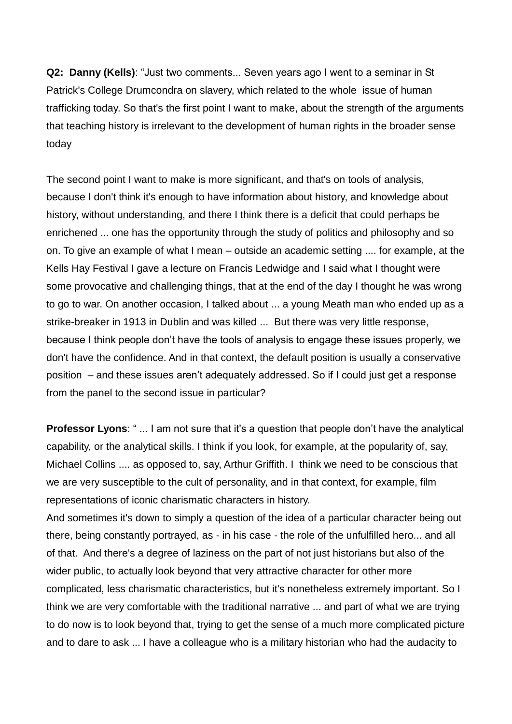**Q2: Danny (Kells)**: "Just two comments... Seven years ago I went to a seminar in St Patrick's College Drumcondra on slavery, which related to the whole issue of human trafficking today. So that's the first point I want to make, about the strength of the arguments that teaching history is irrelevant to the development of human rights in the broader sense today

The second point I want to make is more significant, and that's on tools of analysis, because I don't think it's enough to have information about history, and knowledge about history, without understanding, and there I think there is a deficit that could perhaps be enrichened ... one has the opportunity through the study of politics and philosophy and so on. To give an example of what I mean – outside an academic setting .... for example, at the Kells Hay Festival I gave a lecture on Francis Ledwidge and I said what I thought were some provocative and challenging things, that at the end of the day I thought he was wrong to go to war. On another occasion, I talked about ... a young Meath man who ended up as a strike-breaker in 1913 in Dublin and was killed ... But there was very little response, because I think people don't have the tools of analysis to engage these issues properly, we don't have the confidence. And in that context, the default position is usually a conservative position – and these issues aren't adequately addressed. So if I could just get a response from the panel to the second issue in particular?

**Professor Lyons:** "... I am not sure that it's a question that people don't have the analytical capability, or the analytical skills. I think if you look, for example, at the popularity of, say, Michael Collins .... as opposed to, say, Arthur Griffith. I think we need to be conscious that we are very susceptible to the cult of personality, and in that context, for example, film representations of iconic charismatic characters in history.

And sometimes it's down to simply a question of the idea of a particular character being out there, being constantly portrayed, as - in his case - the role of the unfulfilled hero... and all of that. And there's a degree of laziness on the part of not just historians but also of the wider public, to actually look beyond that very attractive character for other more complicated, less charismatic characteristics, but it's nonetheless extremely important. So I think we are very comfortable with the traditional narrative ... and part of what we are trying to do now is to look beyond that, trying to get the sense of a much more complicated picture and to dare to ask ... I have a colleague who is a military historian who had the audacity to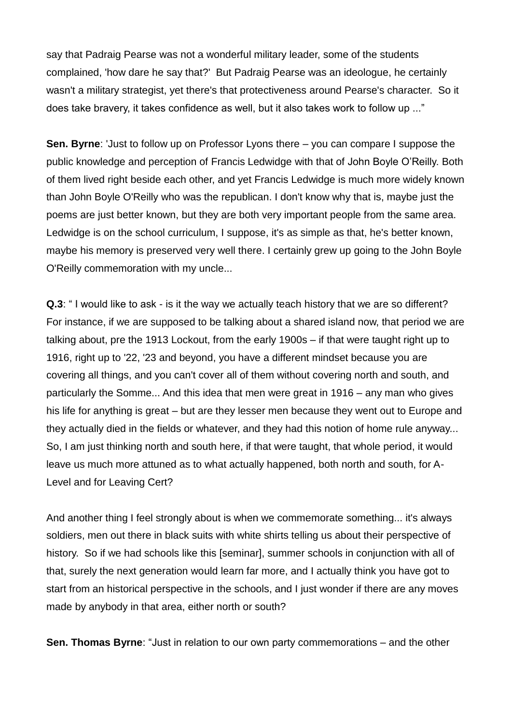say that Padraig Pearse was not a wonderful military leader, some of the students complained, 'how dare he say that?' But Padraig Pearse was an ideologue, he certainly wasn't a military strategist, yet there's that protectiveness around Pearse's character. So it does take bravery, it takes confidence as well, but it also takes work to follow up ..."

**Sen. Byrne**: 'Just to follow up on Professor Lyons there – you can compare I suppose the public knowledge and perception of Francis Ledwidge with that of John Boyle O'Reilly. Both of them lived right beside each other, and yet Francis Ledwidge is much more widely known than John Boyle O'Reilly who was the republican. I don't know why that is, maybe just the poems are just better known, but they are both very important people from the same area. Ledwidge is on the school curriculum, I suppose, it's as simple as that, he's better known, maybe his memory is preserved very well there. I certainly grew up going to the John Boyle O'Reilly commemoration with my uncle...

**Q.3**: " I would like to ask - is it the way we actually teach history that we are so different? For instance, if we are supposed to be talking about a shared island now, that period we are talking about, pre the 1913 Lockout, from the early 1900s – if that were taught right up to 1916, right up to '22, '23 and beyond, you have a different mindset because you are covering all things, and you can't cover all of them without covering north and south, and particularly the Somme... And this idea that men were great in 1916 – any man who gives his life for anything is great – but are they lesser men because they went out to Europe and they actually died in the fields or whatever, and they had this notion of home rule anyway... So, I am just thinking north and south here, if that were taught, that whole period, it would leave us much more attuned as to what actually happened, both north and south, for A-Level and for Leaving Cert?

And another thing I feel strongly about is when we commemorate something... it's always soldiers, men out there in black suits with white shirts telling us about their perspective of history. So if we had schools like this [seminar], summer schools in conjunction with all of that, surely the next generation would learn far more, and I actually think you have got to start from an historical perspective in the schools, and I just wonder if there are any moves made by anybody in that area, either north or south?

**Sen. Thomas Byrne**: "Just in relation to our own party commemorations – and the other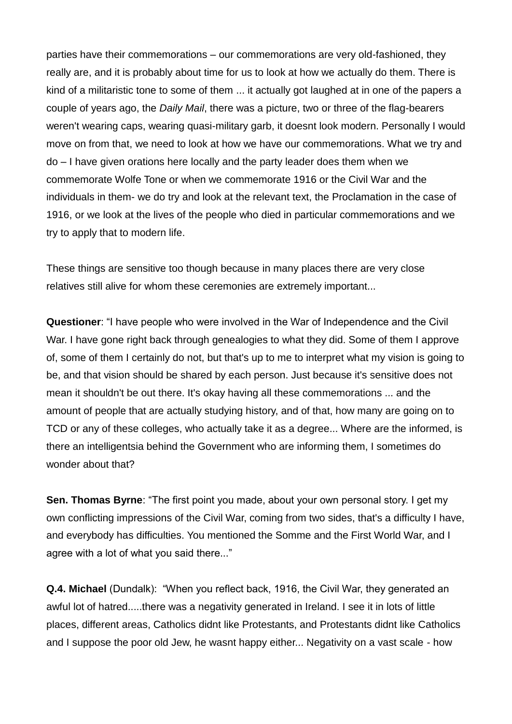parties have their commemorations – our commemorations are very old-fashioned, they really are, and it is probably about time for us to look at how we actually do them. There is kind of a militaristic tone to some of them ... it actually got laughed at in one of the papers a couple of years ago, the *Daily Mail*, there was a picture, two or three of the flag-bearers weren't wearing caps, wearing quasi-military garb, it doesnt look modern. Personally I would move on from that, we need to look at how we have our commemorations. What we try and do – I have given orations here locally and the party leader does them when we commemorate Wolfe Tone or when we commemorate 1916 or the Civil War and the individuals in them- we do try and look at the relevant text, the Proclamation in the case of 1916, or we look at the lives of the people who died in particular commemorations and we try to apply that to modern life.

These things are sensitive too though because in many places there are very close relatives still alive for whom these ceremonies are extremely important...

**Questioner**: "I have people who were involved in the War of Independence and the Civil War. I have gone right back through genealogies to what they did. Some of them I approve of, some of them I certainly do not, but that's up to me to interpret what my vision is going to be, and that vision should be shared by each person. Just because it's sensitive does not mean it shouldn't be out there. It's okay having all these commemorations ... and the amount of people that are actually studying history, and of that, how many are going on to TCD or any of these colleges, who actually take it as a degree... Where are the informed, is there an intelligentsia behind the Government who are informing them, I sometimes do wonder about that?

**Sen. Thomas Byrne**: "The first point you made, about your own personal story. I get my own conflicting impressions of the Civil War, coming from two sides, that's a difficulty I have, and everybody has difficulties. You mentioned the Somme and the First World War, and I agree with a lot of what you said there..."

**Q.4. Michael** (Dundalk): "When you reflect back, 1916, the Civil War, they generated an awful lot of hatred.....there was a negativity generated in Ireland. I see it in lots of little places, different areas, Catholics didnt like Protestants, and Protestants didnt like Catholics and I suppose the poor old Jew, he wasnt happy either... Negativity on a vast scale - how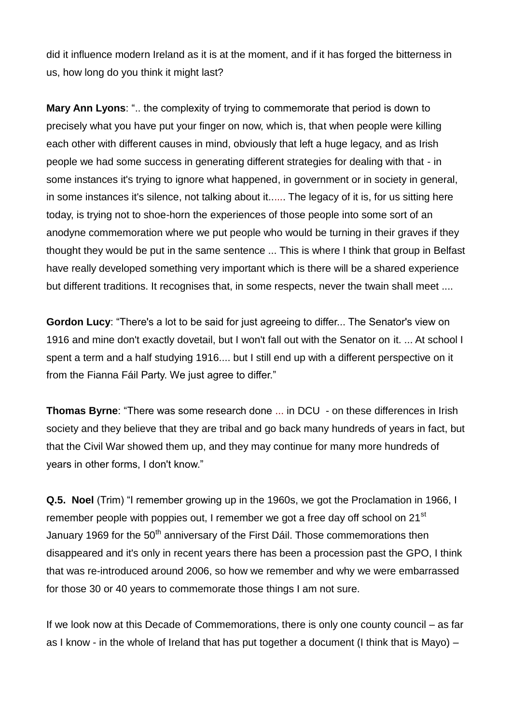did it influence modern Ireland as it is at the moment, and if it has forged the bitterness in us, how long do you think it might last?

**Mary Ann Lyons**: ".. the complexity of trying to commemorate that period is down to precisely what you have put your finger on now, which is, that when people were killing each other with different causes in mind, obviously that left a huge legacy, and as Irish people we had some success in generating different strategies for dealing with that - in some instances it's trying to ignore what happened, in government or in society in general, in some instances it's silence, not talking about it...... The legacy of it is, for us sitting here today, is trying not to shoe-horn the experiences of those people into some sort of an anodyne commemoration where we put people who would be turning in their graves if they thought they would be put in the same sentence ... This is where I think that group in Belfast have really developed something very important which is there will be a shared experience but different traditions. It recognises that, in some respects, never the twain shall meet ....

**Gordon Lucy**: "There's a lot to be said for just agreeing to differ... The Senator's view on 1916 and mine don't exactly dovetail, but I won't fall out with the Senator on it. ... At school I spent a term and a half studying 1916.... but I still end up with a different perspective on it from the Fianna Fáil Party. We just agree to differ."

**Thomas Byrne**: "There was some research done ... in DCU - on these differences in Irish society and they believe that they are tribal and go back many hundreds of years in fact, but that the Civil War showed them up, and they may continue for many more hundreds of years in other forms, I don't know."

**Q.5. Noel** (Trim) "I remember growing up in the 1960s, we got the Proclamation in 1966, I remember people with poppies out, I remember we got a free day off school on 21<sup>st</sup> January 1969 for the 50<sup>th</sup> anniversary of the First Dáil. Those commemorations then disappeared and it's only in recent years there has been a procession past the GPO, I think that was re-introduced around 2006, so how we remember and why we were embarrassed for those 30 or 40 years to commemorate those things I am not sure.

If we look now at this Decade of Commemorations, there is only one county council – as far as I know - in the whole of Ireland that has put together a document (I think that is Mayo) –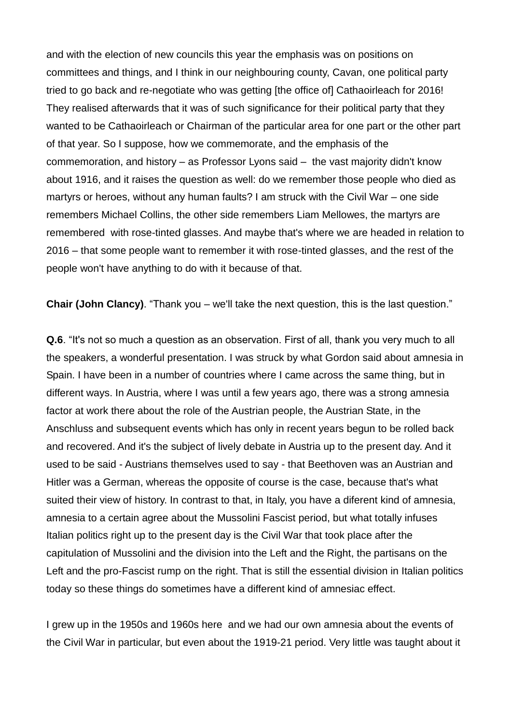and with the election of new councils this year the emphasis was on positions on committees and things, and I think in our neighbouring county, Cavan, one political party tried to go back and re-negotiate who was getting [the office of] Cathaoirleach for 2016! They realised afterwards that it was of such significance for their political party that they wanted to be Cathaoirleach or Chairman of the particular area for one part or the other part of that year. So I suppose, how we commemorate, and the emphasis of the commemoration, and history – as Professor Lyons said – the vast majority didn't know about 1916, and it raises the question as well: do we remember those people who died as martyrs or heroes, without any human faults? I am struck with the Civil War – one side remembers Michael Collins, the other side remembers Liam Mellowes, the martyrs are remembered with rose-tinted glasses. And maybe that's where we are headed in relation to 2016 – that some people want to remember it with rose-tinted glasses, and the rest of the people won't have anything to do with it because of that.

**Chair (John Clancy)**. "Thank you – we'll take the next question, this is the last question."

**Q.6**. "It's not so much a question as an observation. First of all, thank you very much to all the speakers, a wonderful presentation. I was struck by what Gordon said about amnesia in Spain. I have been in a number of countries where I came across the same thing, but in different ways. In Austria, where I was until a few years ago, there was a strong amnesia factor at work there about the role of the Austrian people, the Austrian State, in the Anschluss and subsequent events which has only in recent years begun to be rolled back and recovered. And it's the subject of lively debate in Austria up to the present day. And it used to be said - Austrians themselves used to say - that Beethoven was an Austrian and Hitler was a German, whereas the opposite of course is the case, because that's what suited their view of history. In contrast to that, in Italy, you have a diferent kind of amnesia, amnesia to a certain agree about the Mussolini Fascist period, but what totally infuses Italian politics right up to the present day is the Civil War that took place after the capitulation of Mussolini and the division into the Left and the Right, the partisans on the Left and the pro-Fascist rump on the right. That is still the essential division in Italian politics today so these things do sometimes have a different kind of amnesiac effect.

I grew up in the 1950s and 1960s here and we had our own amnesia about the events of the Civil War in particular, but even about the 1919-21 period. Very little was taught about it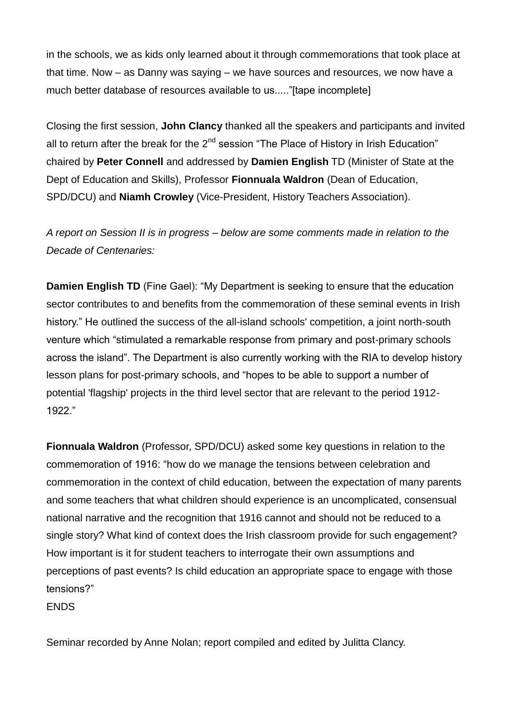in the schools, we as kids only learned about it through commemorations that took place at that time. Now – as Danny was saying – we have sources and resources, we now have a much better database of resources available to us....."[tape incomplete]

Closing the first session, **John Clancy** thanked all the speakers and participants and invited all to return after the break for the  $2<sup>nd</sup>$  session "The Place of History in Irish Education" chaired by **Peter Connell** and addressed by **Damien English** TD (Minister of State at the Dept of Education and Skills), Professor **Fionnuala Waldron** (Dean of Education, SPD/DCU) and **Niamh Crowley** (Vice-President, History Teachers Association).

*A report on Session II is in progress – below are some comments made in relation to the Decade of Centenaries:*

**Damien English TD** (Fine Gael): "My Department is seeking to ensure that the education sector contributes to and benefits from the commemoration of these seminal events in Irish history." He outlined the success of the all-island schools' competition, a joint north-south venture which "stimulated a remarkable response from primary and post-primary schools across the island". The Department is also currently working with the RIA to develop history lesson plans for post-primary schools, and "hopes to be able to support a number of potential 'flagship' projects in the third level sector that are relevant to the period 1912- 1922."

**Fionnuala Waldron** (Professor, SPD/DCU) asked some key questions in relation to the commemoration of 1916: "how do we manage the tensions between celebration and commemoration in the context of child education, between the expectation of many parents and some teachers that what children should experience is an uncomplicated, consensual national narrative and the recognition that 1916 cannot and should not be reduced to a single story? What kind of context does the Irish classroom provide for such engagement? How important is it for student teachers to interrogate their own assumptions and perceptions of past events? Is child education an appropriate space to engage with those tensions?"

ENDS

Seminar recorded by Anne Nolan; report compiled and edited by Julitta Clancy.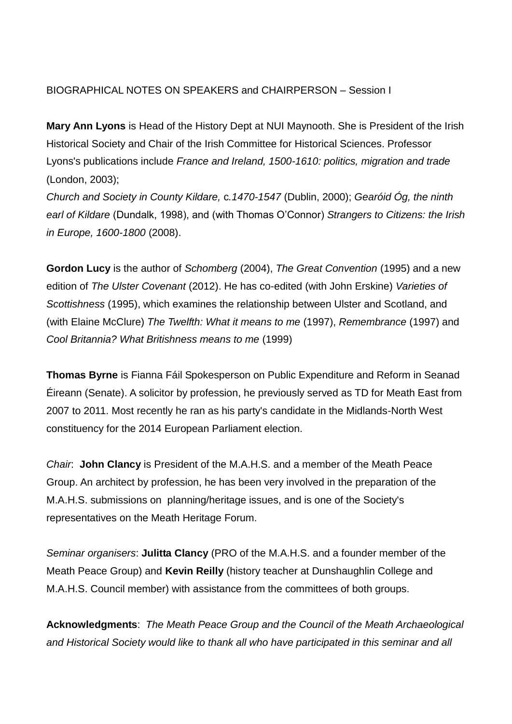# BIOGRAPHICAL NOTES ON SPEAKERS and CHAIRPERSON – Session I

**Mary Ann Lyons** is Head of the History Dept at NUI Maynooth. She is President of the Irish Historical Society and Chair of the Irish Committee for Historical Sciences. Professor Lyons's publications include *France and Ireland, 1500-1610: politics, migration and trade* (London, 2003);

*Church and Society in County Kildare,* c*.1470-1547* (Dublin, 2000); *Gearóid Óg, the ninth earl of Kildare* (Dundalk, 1998), and (with Thomas O'Connor) *Strangers to Citizens: the Irish in Europe, 1600-1800* (2008).

**Gordon Lucy** is the author of *Schomberg* (2004), *The Great Convention* (1995) and a new edition of *The Ulster Covenant* (2012). He has co-edited (with John Erskine) *Varieties of Scottishness* (1995), which examines the relationship between Ulster and Scotland, and (with Elaine McClure) *The Twelfth: What it means to me* (1997), *Remembrance* (1997) and *Cool Britannia? What Britishness means to me* (1999)

**Thomas Byrne** is Fianna Fáil Spokesperson on Public Expenditure and Reform in Seanad Éireann (Senate). A solicitor by profession, he previously served as TD for Meath East from 2007 to 2011. Most recently he ran as his party's candidate in the Midlands-North West constituency for the 2014 European Parliament election.

*Chair*: **John Clancy** is President of the M.A.H.S. and a member of the Meath Peace Group. An architect by profession, he has been very involved in the preparation of the M.A.H.S. submissions on planning/heritage issues, and is one of the Society's representatives on the Meath Heritage Forum.

*Seminar organisers*: **Julitta Clancy** (PRO of the M.A.H.S. and a founder member of the Meath Peace Group) and **Kevin Reilly** (history teacher at Dunshaughlin College and M.A.H.S. Council member) with assistance from the committees of both groups.

**Acknowledgments**: *The Meath Peace Group and the Council of the Meath Archaeological and Historical Society would like to thank all who have participated in this seminar and all*